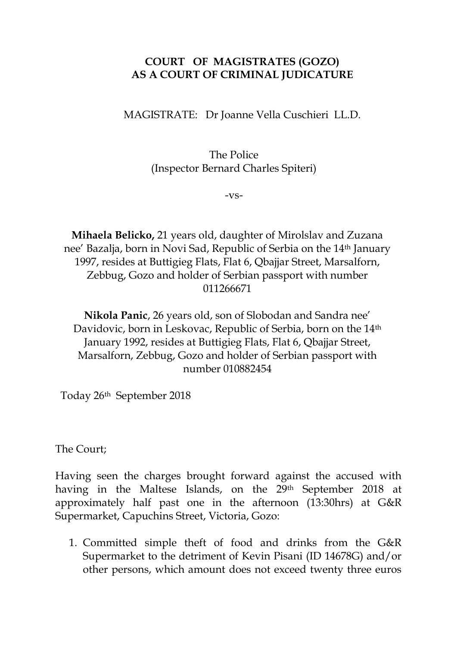## **COURT OF MAGISTRATES (GOZO) AS A COURT OF CRIMINAL JUDICATURE**

MAGISTRATE: Dr Joanne Vella Cuschieri LL.D.

The Police (Inspector Bernard Charles Spiteri)

-vs-

**Mihaela Belicko,** 21 years old, daughter of Mirolslav and Zuzana nee' Bazalja, born in Novi Sad, Republic of Serbia on the 14th January 1997, resides at Buttigieg Flats, Flat 6, Qbajjar Street, Marsalforn, Zebbug, Gozo and holder of Serbian passport with number 011266671

**Nikola Panic**, 26 years old, son of Slobodan and Sandra nee' Davidovic, born in Leskovac, Republic of Serbia, born on the 14<sup>th</sup> January 1992, resides at Buttigieg Flats, Flat 6, Qbajjar Street, Marsalforn, Zebbug, Gozo and holder of Serbian passport with number 010882454

Today 26th September 2018

The Court;

Having seen the charges brought forward against the accused with having in the Maltese Islands, on the 29th September 2018 at approximately half past one in the afternoon (13:30hrs) at G&R Supermarket, Capuchins Street, Victoria, Gozo:

1. Committed simple theft of food and drinks from the G&R Supermarket to the detriment of Kevin Pisani (ID 14678G) and/or other persons, which amount does not exceed twenty three euros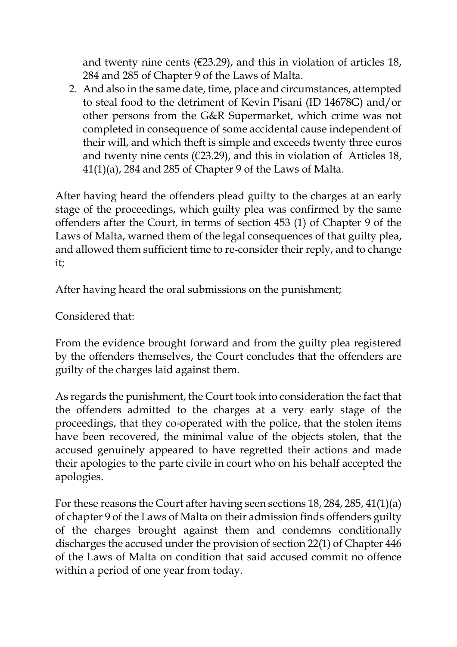and twenty nine cents ( $\epsilon$ 23.29), and this in violation of articles 18, 284 and 285 of Chapter 9 of the Laws of Malta.

2. And also in the same date, time, place and circumstances, attempted to steal food to the detriment of Kevin Pisani (ID 14678G) and/or other persons from the G&R Supermarket, which crime was not completed in consequence of some accidental cause independent of their will, and which theft is simple and exceeds twenty three euros and twenty nine cents ( $\in$ 23.29), and this in violation of Articles 18,  $41(1)(a)$ , 284 and 285 of Chapter 9 of the Laws of Malta.

After having heard the offenders plead guilty to the charges at an early stage of the proceedings, which guilty plea was confirmed by the same offenders after the Court, in terms of section 453 (1) of Chapter 9 of the Laws of Malta, warned them of the legal consequences of that guilty plea, and allowed them sufficient time to re-consider their reply, and to change it;

After having heard the oral submissions on the punishment;

Considered that:

From the evidence brought forward and from the guilty plea registered by the offenders themselves, the Court concludes that the offenders are guilty of the charges laid against them.

As regards the punishment, the Court took into consideration the fact that the offenders admitted to the charges at a very early stage of the proceedings, that they co-operated with the police, that the stolen items have been recovered, the minimal value of the objects stolen, that the accused genuinely appeared to have regretted their actions and made their apologies to the parte civile in court who on his behalf accepted the apologies.

For these reasons the Court after having seen sections 18, 284, 285, 41(1)(a) of chapter 9 of the Laws of Malta on their admission finds offenders guilty of the charges brought against them and condemns conditionally discharges the accused under the provision of section 22(1) of Chapter 446 of the Laws of Malta on condition that said accused commit no offence within a period of one year from today.